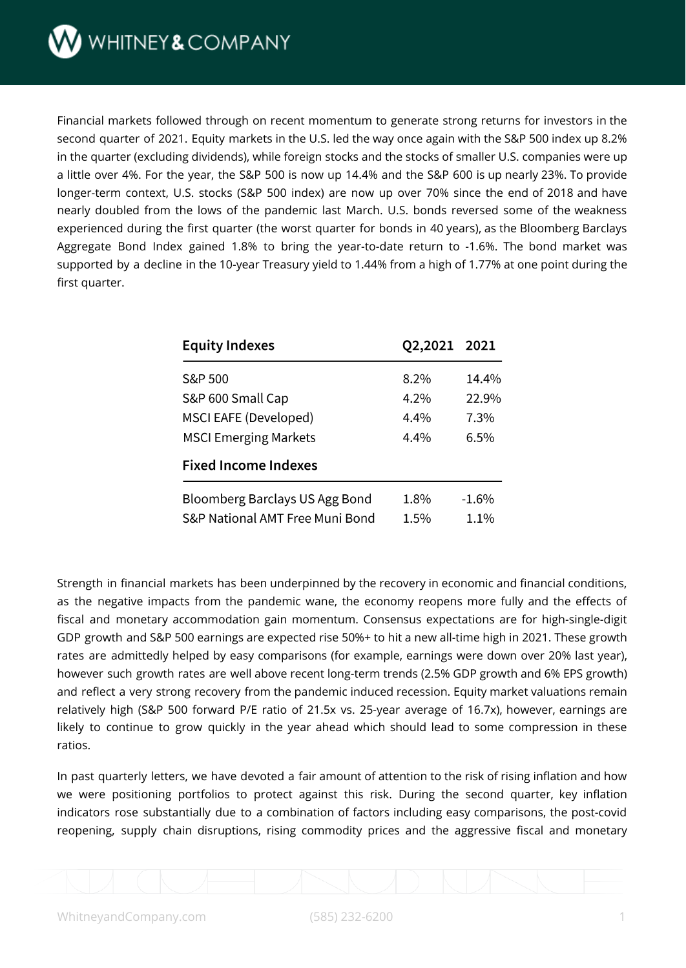WHITNEY&COMPANY

Financial markets followed through on recent momentum to generate strong returns for investors in the second quarter of 2021. Equity markets in the U.S. led the way once again with the S&P 500 index up 8.2% in the quarter (excluding dividends), while foreign stocks and the stocks of smaller U.S. companies were up a little over 4%. For the year, the S&P 500 is now up 14.4% and the S&P 600 is up nearly 23%. To provide longer-term context, U.S. stocks (S&P 500 index) are now up over 70% since the end of 2018 and have nearly doubled from the lows of the pandemic last March. U.S. bonds reversed some of the weakness experienced during the first quarter (the worst quarter for bonds in 40 years), as the Bloomberg Barclays Aggregate Bond Index gained 1.8% to bring the year-to-date return to -1.6%. The bond market was supported by a decline in the 10-year Treasury yield to 1.44% from a high of 1.77% at one point during the first quarter.

| <b>Equity Indexes</b>           | Q2,2021 2021 |          |
|---------------------------------|--------------|----------|
| S&P 500                         | 8.2%         | $14.4\%$ |
| S&P 600 Small Cap               | $4.2\%$      | 22.9%    |
| MSCI EAFE (Developed)           | $4.4\%$      | 7.3%     |
| <b>MSCI Emerging Markets</b>    | $4.4\%$      | $6.5\%$  |
| <b>Fixed Income Indexes</b>     |              |          |
| Bloomberg Barclays US Agg Bond  | 1.8%         | $-1.6%$  |
| S&P National AMT Free Muni Bond | $1.5\%$      | $1.1\%$  |

Strength in financial markets has been underpinned by the recovery in economic and financial conditions, as the negative impacts from the pandemic wane, the economy reopens more fully and the effects of fiscal and monetary accommodation gain momentum. Consensus expectations are for high-single-digit GDP growth and S&P 500 earnings are expected rise 50%+ to hit a new all-time high in 2021. These growth rates are admittedly helped by easy comparisons (for example, earnings were down over 20% last year), however such growth rates are well above recent long-term trends (2.5% GDP growth and 6% EPS growth) and reflect a very strong recovery from the pandemic induced recession. Equity market valuations remain relatively high (S&P 500 forward P/E ratio of 21.5x vs. 25-year average of 16.7x), however, earnings are likely to continue to grow quickly in the year ahead which should lead to some compression in these ratios.

In past quarterly letters, we have devoted a fair amount of attention to the risk of rising inflation and how we were positioning portfolios to protect against this risk. During the second quarter, key inflation indicators rose substantially due to a combination of factors including easy comparisons, the post-covid reopening, supply chain disruptions, rising commodity prices and the aggressive fiscal and monetary